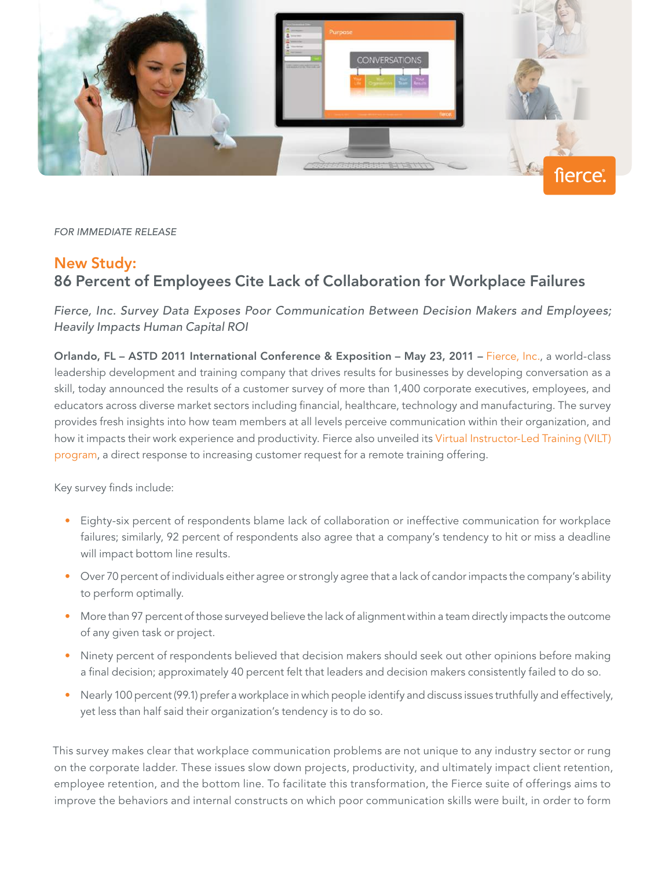

FOR IMMEDIATE RELEASE

## New Study:

## 86 Percent of Employees Cite Lack of Collaboration for Workplace Failures

Fierce, Inc. Survey Data Exposes Poor Communication Between Decision Makers and Employees; Heavily Impacts Human Capital ROI

Orlando, FL – ASTD 2011 International Conference & Exposition – May 23, 2011 – [Fierce, Inc.](http://www.fierceinc.com/?optify_r=PressRelease&optify_rd=ASTD2011), a world-class leadership development and training company that drives results for businesses by developing conversation as a skill, today announced the results of a customer survey of more than 1,400 corporate executives, employees, and educators across diverse market sectors including financial, healthcare, technology and manufacturing. The survey provides fresh insights into how team members at all levels perceive communication within their organization, and how it impacts their work experience and productivity. Fierce also unveiled its [Virtual Instructor-Led Training \(VILT\)](http://www.fierceinc.com/index.php?page=online-training&optify_r=PressRelease&optify_rd=ASTD2011) [program](http://www.fierceinc.com/index.php?page=online-training&optify_r=PressRelease&optify_rd=ASTD2011), a direct response to increasing customer request for a remote training offering.

Key survey finds include:

- • Eighty-six percent of respondents blame lack of collaboration or ineffective communication for workplace failures; similarly, 92 percent of respondents also agree that a company's tendency to hit or miss a deadline will impact bottom line results.
- • Over 70 percent of individuals either agree or strongly agree that a lack of candor impacts the company's ability to perform optimally.
- • More than 97 percent of those surveyed believe the lack of alignment within a team directly impacts the outcome of any given task or project.
- Ninety percent of respondents believed that decision makers should seek out other opinions before making a final decision; approximately 40 percent felt that leaders and decision makers consistently failed to do so.
- • Nearly 100 percent (99.1) prefer a workplace in which people identify and discuss issues truthfully and effectively, yet less than half said their organization's tendency is to do so.

This survey makes clear that workplace communication problems are not unique to any industry sector or rung on the corporate ladder. These issues slow down projects, productivity, and ultimately impact client retention, employee retention, and the bottom line. To facilitate this transformation, the Fierce suite of offerings aims to improve the behaviors and internal constructs on which poor communication skills were built, in order to form